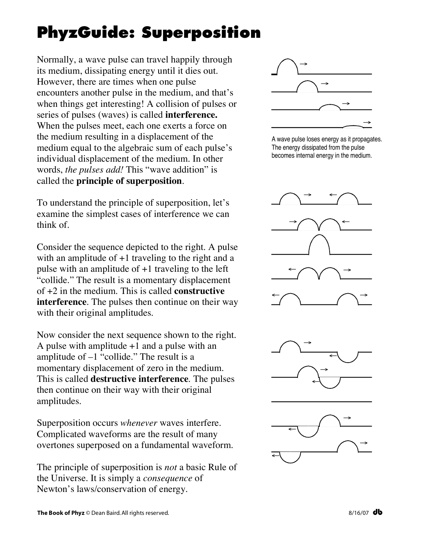## **PhyzGuide: Superposition**

Normally, a wave pulse can travel happily through its medium, dissipating energy until it dies out. However, there are times when one pulse encounters another pulse in the medium, and that's when things get interesting! A collision of pulses or series of pulses (waves) is called **interference.** When the pulses meet, each one exerts a force on the medium resulting in a displacement of the medium equal to the algebraic sum of each pulse's individual displacement of the medium. In other words, *the pulses add!* This "wave addition" is called the **principle of superposition**.

To understand the principle of superposition, let's examine the simplest cases of interference we can think of.

Consider the sequence depicted to the right. A pulse with an amplitude of  $+1$  traveling to the right and a pulse with an amplitude of +1 traveling to the left "collide." The result is a momentary displacement of +2 in the medium. This is called **constructive interference**. The pulses then continue on their way with their original amplitudes.

Now consider the next sequence shown to the right. A pulse with amplitude  $+1$  and a pulse with an amplitude of  $-1$  "collide." The result is a momentary displacement of zero in the medium. This is called **destructive interference**. The pulses then continue on their way with their original amplitudes.

Superposition occurs *whenever* waves interfere. Complicated waveforms are the result of many overtones superposed on a fundamental waveform.

The principle of superposition is *not* a basic Rule of the Universe. It is simply a *consequence* of Newton's laws/conservation of energy.



A wave pulse loses energy as it propagates. The energy dissipated from the pulse becomes internal energy in the medium.



←